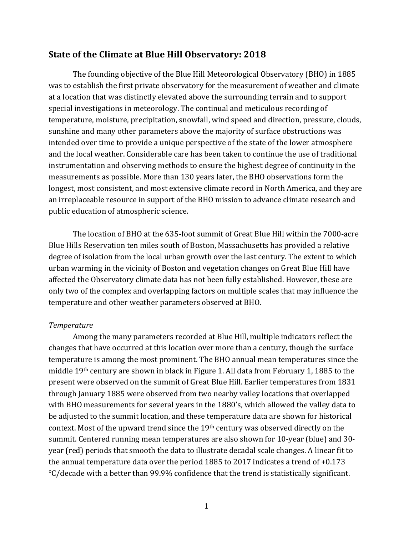## **State of the Climate at Blue Hill Observatory: 2018**

The founding objective of the Blue Hill Meteorological Observatory (BHO) in 1885 was to establish the first private observatory for the measurement of weather and climate at a location that was distinctly elevated above the surrounding terrain and to support special investigations in meteorology. The continual and meticulous recording of temperature, moisture, precipitation, snowfall, wind speed and direction, pressure, clouds, sunshine and many other parameters above the majority of surface obstructions was intended over time to provide a unique perspective of the state of the lower atmosphere and the local weather. Considerable care has been taken to continue the use of traditional instrumentation and observing methods to ensure the highest degree of continuity in the measurements as possible. More than 130 years later, the BHO observations form the longest, most consistent, and most extensive climate record in North America, and they are an irreplaceable resource in support of the BHO mission to advance climate research and public education of atmospheric science.

The location of BHO at the 635-foot summit of Great Blue Hill within the 7000-acre Blue Hills Reservation ten miles south of Boston, Massachusetts has provided a relative degree of isolation from the local urban growth over the last century. The extent to which urban warming in the vicinity of Boston and vegetation changes on Great Blue Hill have affected the Observatory climate data has not been fully established. However, these are only two of the complex and overlapping factors on multiple scales that may influence the temperature and other weather parameters observed at BHO.

## *Temperature*

Among the many parameters recorded at Blue Hill, multiple indicators reflect the changes that have occurred at this location over more than a century, though the surface temperature is among the most prominent. The BHO annual mean temperatures since the middle  $19<sup>th</sup>$  century are shown in black in Figure 1. All data from February 1, 1885 to the present were observed on the summit of Great Blue Hill. Earlier temperatures from 1831 through January 1885 were observed from two nearby valley locations that overlapped with BHO measurements for several years in the 1880's, which allowed the valley data to be adjusted to the summit location, and these temperature data are shown for historical context. Most of the upward trend since the 19<sup>th</sup> century was observed directly on the summit. Centered running mean temperatures are also shown for 10-year (blue) and 30year (red) periods that smooth the data to illustrate decadal scale changes. A linear fit to the annual temperature data over the period 1885 to 2017 indicates a trend of  $+0.173$ °C/decade with a better than 99.9% confidence that the trend is statistically significant.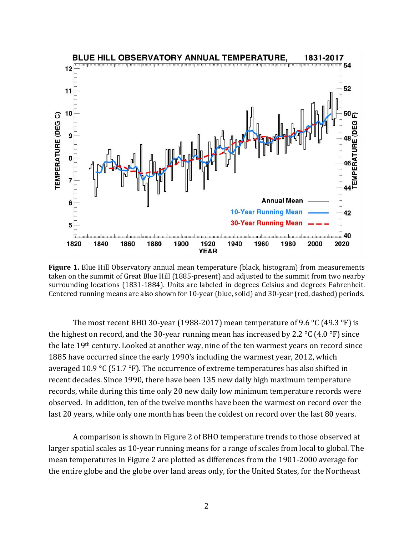

**Figure 1.** Blue Hill Observatory annual mean temperature (black, histogram) from measurements taken on the summit of Great Blue Hill (1885-present) and adjusted to the summit from two nearby surrounding locations (1831-1884). Units are labeled in degrees Celsius and degrees Fahrenheit. Centered running means are also shown for 10-year (blue, solid) and 30-year (red, dashed) periods.

The most recent BHO 30-year (1988-2017) mean temperature of 9.6 °C (49.3 °F) is the highest on record, and the 30-year running mean has increased by 2.2  $\degree$ C (4.0  $\degree$ F) since the late 19<sup>th</sup> century. Looked at another way, nine of the ten warmest years on record since 1885 have occurred since the early 1990's including the warmest year, 2012, which averaged 10.9 °C (51.7 °F). The occurrence of extreme temperatures has also shifted in recent decades. Since 1990, there have been 135 new daily high maximum temperature records, while during this time only 20 new daily low minimum temperature records were observed. In addition, ten of the twelve months have been the warmest on record over the last 20 years, while only one month has been the coldest on record over the last 80 years.

A comparison is shown in Figure 2 of BHO temperature trends to those observed at larger spatial scales as 10-year running means for a range of scales from local to global. The mean temperatures in Figure 2 are plotted as differences from the 1901-2000 average for the entire globe and the globe over land areas only, for the United States, for the Northeast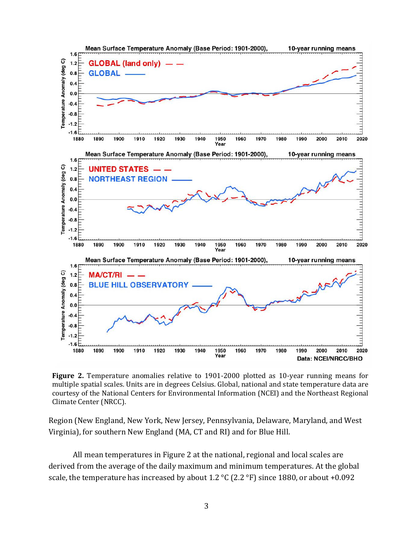

**Figure 2.** Temperature anomalies relative to 1901-2000 plotted as 10-year running means for multiple spatial scales. Units are in degrees Celsius. Global, national and state temperature data are courtesy of the National Centers for Environmental Information (NCEI) and the Northeast Regional Climate Center (NRCC).

Region (New England, New York, New Jersey, Pennsylvania, Delaware, Maryland, and West Virginia), for southern New England (MA, CT and RI) and for Blue Hill.

All mean temperatures in Figure 2 at the national, regional and local scales are derived from the average of the daily maximum and minimum temperatures. At the global scale, the temperature has increased by about 1.2  $\degree$ C (2.2  $\degree$ F) since 1880, or about +0.092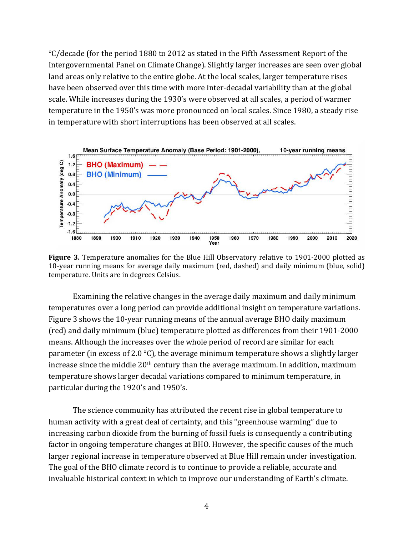$\degree$ C/decade (for the period 1880 to 2012 as stated in the Fifth Assessment Report of the Intergovernmental Panel on Climate Change). Slightly larger increases are seen over global land areas only relative to the entire globe. At the local scales, larger temperature rises have been observed over this time with more inter-decadal variability than at the global scale. While increases during the 1930's were observed at all scales, a period of warmer temperature in the 1950's was more pronounced on local scales. Since 1980, a steady rise in temperature with short interruptions has been observed at all scales.



**Figure 3.** Temperature anomalies for the Blue Hill Observatory relative to 1901-2000 plotted as 10-year running means for average daily maximum (red, dashed) and daily minimum (blue, solid) temperature. Units are in degrees Celsius.

Examining the relative changes in the average daily maximum and daily minimum temperatures over a long period can provide additional insight on temperature variations. Figure 3 shows the 10-year running means of the annual average BHO daily maximum (red) and daily minimum (blue) temperature plotted as differences from their 1901-2000 means. Although the increases over the whole period of record are similar for each parameter (in excess of 2.0  $\degree$ C), the average minimum temperature shows a slightly larger increase since the middle  $20<sup>th</sup>$  century than the average maximum. In addition, maximum temperature shows larger decadal variations compared to minimum temperature, in particular during the 1920's and 1950's.

The science community has attributed the recent rise in global temperature to human activity with a great deal of certainty, and this "greenhouse warming" due to increasing carbon dioxide from the burning of fossil fuels is consequently a contributing factor in ongoing temperature changes at BHO. However, the specific causes of the much larger regional increase in temperature observed at Blue Hill remain under investigation. The goal of the BHO climate record is to continue to provide a reliable, accurate and invaluable historical context in which to improve our understanding of Earth's climate.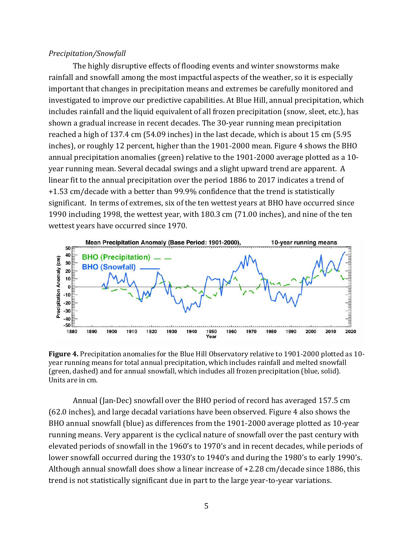## *Precipitation/Snowfall*

The highly disruptive effects of flooding events and winter snowstorms make rainfall and snowfall among the most impactful aspects of the weather, so it is especially important that changes in precipitation means and extremes be carefully monitored and investigated to improve our predictive capabilities. At Blue Hill, annual precipitation, which includes rainfall and the liquid equivalent of all frozen precipitation (snow, sleet, etc.), has shown a gradual increase in recent decades. The 30-year running mean precipitation reached a high of 137.4 cm  $(54.09 \text{ inches})$  in the last decade, which is about 15 cm  $(5.95 \text{ miles})$ inches), or roughly 12 percent, higher than the 1901-2000 mean. Figure 4 shows the BHO annual precipitation anomalies (green) relative to the 1901-2000 average plotted as a 10year running mean. Several decadal swings and a slight upward trend are apparent. A linear fit to the annual precipitation over the period 1886 to 2017 indicates a trend of +1.53 cm/decade with a better than 99.9% confidence that the trend is statistically significant. In terms of extremes, six of the ten wettest years at BHO have occurred since 1990 including 1998, the wettest year, with 180.3 cm (71.00 inches), and nine of the ten wettest years have occurred since 1970.



**Figure 4.** Precipitation anomalies for the Blue Hill Observatory relative to 1901-2000 plotted as 10year running means for total annual precipitation, which includes rainfall and melted snowfall (green, dashed) and for annual snowfall, which includes all frozen precipitation (blue, solid). Units are in cm.

Annual (Jan-Dec) snowfall over the BHO period of record has averaged 157.5 cm (62.0 inches), and large decadal variations have been observed. Figure 4 also shows the BHO annual snowfall (blue) as differences from the 1901-2000 average plotted as 10-year running means. Very apparent is the cyclical nature of snowfall over the past century with elevated periods of snowfall in the 1960's to 1970's and in recent decades, while periods of lower snowfall occurred during the 1930's to 1940's and during the 1980's to early 1990's. Although annual snowfall does show a linear increase of  $+2.28$  cm/decade since 1886, this trend is not statistically significant due in part to the large year-to-year variations.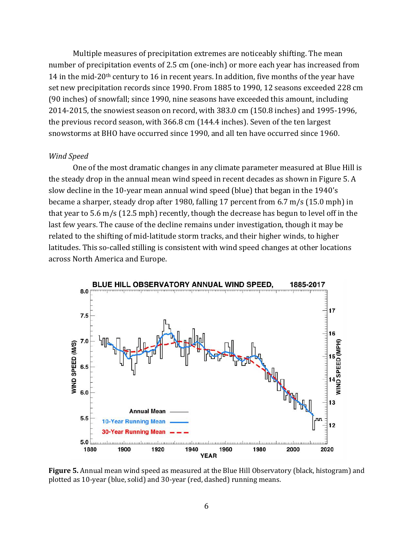Multiple measures of precipitation extremes are noticeably shifting. The mean number of precipitation events of 2.5 cm (one-inch) or more each year has increased from 14 in the mid-20<sup>th</sup> century to 16 in recent years. In addition, five months of the year have set new precipitation records since 1990. From 1885 to 1990, 12 seasons exceeded 228 cm (90 inches) of snowfall; since 1990, nine seasons have exceeded this amount, including 2014-2015, the snowiest season on record, with 383.0 cm (150.8 inches) and 1995-1996, the previous record season, with 366.8 cm (144.4 inches). Seven of the ten largest snowstorms at BHO have occurred since 1990, and all ten have occurred since 1960.

## *Wind Speed*

One of the most dramatic changes in any climate parameter measured at Blue Hill is the steady drop in the annual mean wind speed in recent decades as shown in Figure 5. A slow decline in the 10-year mean annual wind speed (blue) that began in the 1940's became a sharper, steady drop after 1980, falling 17 percent from  $6.7 \text{ m/s}$  (15.0 mph) in that year to  $5.6 \text{ m/s}$  (12.5 mph) recently, though the decrease has begun to level off in the last few years. The cause of the decline remains under investigation, though it may be related to the shifting of mid-latitude storm tracks, and their higher winds, to higher latitudes. This so-called stilling is consistent with wind speed changes at other locations across North America and Europe.



**Figure 5.** Annual mean wind speed as measured at the Blue Hill Observatory (black, histogram) and plotted as 10-year (blue, solid) and 30-year (red, dashed) running means.